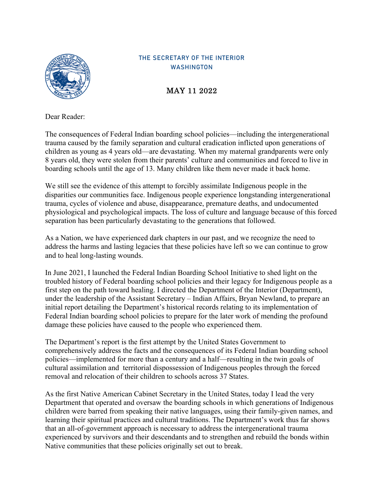

## THE SECRETARY OF THE INTERIOR WASHINGTON

MAY 11 2022

Dear Reader:

The consequences of Federal Indian boarding school policies—including the intergenerational trauma caused by the family separation and cultural eradication inflicted upon generations of children as young as 4 years old—are devastating. When my maternal grandparents were only 8 years old, they were stolen from their parents' culture and communities and forced to live in boarding schools until the age of 13. Many children like them never made it back home.

We still see the evidence of this attempt to forcibly assimilate Indigenous people in the disparities our communities face. Indigenous people experience longstanding intergenerational trauma, cycles of violence and abuse, disappearance, premature deaths, and undocumented physiological and psychological impacts. The loss of culture and language because of this forced separation has been particularly devastating to the generations that followed.

As a Nation, we have experienced dark chapters in our past, and we recognize the need to address the harms and lasting legacies that these policies have left so we can continue to grow and to heal long-lasting wounds.

In June 2021, I launched the Federal Indian Boarding School Initiative to shed light on the troubled history of Federal boarding school policies and their legacy for Indigenous people as a first step on the path toward healing. I directed the Department of the Interior (Department), under the leadership of the Assistant Secretary – Indian Affairs, Bryan Newland, to prepare an initial report detailing the Department's historical records relating to its implementation of Federal Indian boarding school policies to prepare for the later work of mending the profound damage these policies have caused to the people who experienced them.

The Department's report is the first attempt by the United States Government to comprehensively address the facts and the consequences of its Federal Indian boarding school policies—implemented for more than a century and a half—resulting in the twin goals of cultural assimilation and territorial dispossession of Indigenous peoples through the forced removal and relocation of their children to schools across 37 States.

As the first Native American Cabinet Secretary in the United States, today I lead the very Department that operated and oversaw the boarding schools in which generations of Indigenous children were barred from speaking their native languages, using their family-given names, and learning their spiritual practices and cultural traditions. The Department's work thus far shows that an all-of-government approach is necessary to address the intergenerational trauma experienced by survivors and their descendants and to strengthen and rebuild the bonds within Native communities that these policies originally set out to break.